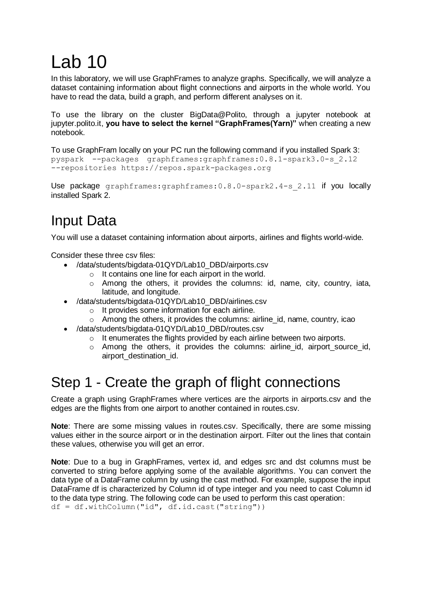# Lab 10

In this laboratory, we will use GraphFrames to analyze graphs. Specifically, we will analyze a dataset containing information about flight connections and airports in the whole world. You have to read the data, build a graph, and perform different analyses on it.

To use the library on the cluster BigData@Polito, through a jupyter notebook at jupyter.polito.it, **you have to select the kernel "GraphFrames(Yarn)"** when creating a new notebook.

To use GraphFram locally on your PC run the following command if you installed Spark 3: pyspark --packages graphframes:graphframes:0.8.1-spark3.0-s\_2.12 --repositories https://repos.spark-packages.org

Use package graphframes: graphframes: 0.8.0-spark2.4-s 2.11 if you locally installed Spark 2.

## Input Data

You will use a dataset containing information about airports, airlines and flights world-wide.

Consider these three csv files:

- /data/students/bigdata-01QYD/Lab10\_DBD/airports.csv
	- o It contains one line for each airport in the world.
	- $\circ$  Among the others, it provides the columns: id, name, city, country, iata, latitude, and longitude.
- /data/students/bigdata-01QYD/Lab10\_DBD/airlines.csv
	- o It provides some information for each airline.
	- $\circ$  Among the others, it provides the columns: airline id, name, country, icao
- /data/students/bigdata-01QYD/Lab10\_DBD/routes.csv
	- o It enumerates the flights provided by each airline between two airports.
	- o Among the others, it provides the columns: airline\_id, airport\_source\_id, airport\_destination\_id.

### Step 1 - Create the graph of flight connections

Create a graph using GraphFrames where vertices are the airports in airports.csv and the edges are the flights from one airport to another contained in routes.csv.

**Note**: There are some missing values in routes.csv. Specifically, there are some missing values either in the source airport or in the destination airport. Filter out the lines that contain these values, otherwise you will get an error.

**Note**: Due to a [bug](https://github.com/graphframes/graphframes/issues/253) in GraphFrames, vertex id, and edges src and dst columns must be converted to string before applying some of the available algorithms. You can convert the data type of a DataFrame column by using the cast method. For example, suppose the input DataFrame df is characterized by Column id of type integer and you need to cast Column id to the data type string. The following code can be used to perform this cast operation: df = df.withColumn("id", df.id.cast("string"))